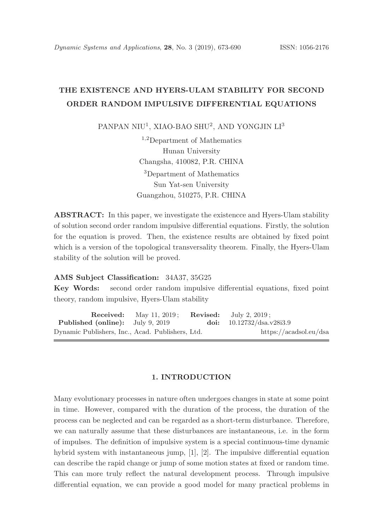# THE EXISTENCE AND HYERS-ULAM STABILITY FOR SECOND ORDER RANDOM IMPULSIVE DIFFERENTIAL EQUATIONS

PANPAN NIU<sup>1</sup>, XIAO-BAO SHU<sup>2</sup>, AND YONGJIN LI<sup>3</sup>

<sup>1</sup>,2Department of Mathematics Hunan University Changsha, 410082, P.R. CHINA <sup>3</sup>Department of Mathematics Sun Yat-sen University Guangzhou, 510275, P.R. CHINA

ABSTRACT: In this paper, we investigate the existencce and Hyers-Ulam stability of solution second order random impulsive differential equations. Firstly, the solution for the equation is proved. Then, the existence results are obtained by fixed point which is a version of the topological transversality theorem. Finally, the Hyers-Ulam stability of the solution will be proved.

#### AMS Subject Classification: 34A37, 35G25

Key Words: second order random impulsive differential equations, fixed point theory, random impulsive, Hyers-Ulam stability

**Received:** May 11, 2019; **Revised:** July 2, 2019; Published (online): July 9, 2019 doi: 10.12732/dsa.v28i3.9 Dynamic Publishers, Inc., Acad. Publishers, Ltd. https://acadsol.eu/dsa

# 1. INTRODUCTION

Many evolutionary processes in nature often undergoes changes in state at some point in time. However, compared with the duration of the process, the duration of the process can be neglected and can be regarded as a short-term disturbance. Therefore, we can naturally assume that these disturbances are instantaneous, i.e. in the form of impulses. The definition of impulsive system is a special continuous-time dynamic hybrid system with instantaneous jump, [1], [2]. The impulsive differential equation can describe the rapid change or jump of some motion states at fixed or random time. This can more truly reflect the natural development process. Through impulsive differential equation, we can provide a good model for many practical problems in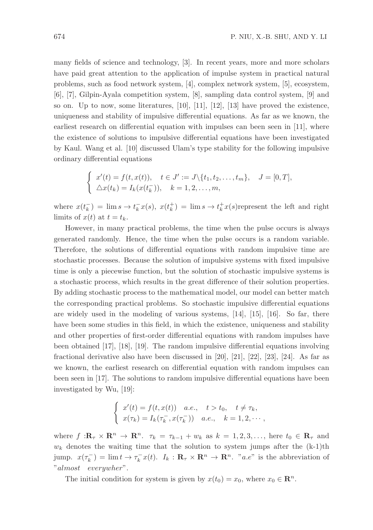many fields of science and technology, [3]. In recent years, more and more scholars have paid great attention to the application of impulse system in practical natural problems, such as food network system, [4], complex network system, [5], ecosystem, [6], [7], Gilpin-Ayala competition system, [8], sampling data control system, [9] and so on. Up to now, some literatures,  $[10]$ ,  $[11]$ ,  $[12]$ ,  $[13]$  have proved the existence, uniqueness and stability of impulsive differential equations. As far as we known, the earliest research on differential equation with impulses can been seen in [11], where the existence of solutions to impulsive differential equations have been investigated by Kaul. Wang et al. [10] discussed Ulam's type stability for the following impulsive ordinary differential equations

$$
\begin{cases}\nx'(t) = f(t, x(t)), & t \in J' := J \setminus \{t_1, t_2, \dots, t_m\}, & J = [0, T], \\
\Delta x(t_k) = I_k(x(t_k^-)), & k = 1, 2, \dots, m,\n\end{cases}
$$

where  $x(t_k^-) = \lim s \to t_k^- x(s)$ ,  $x(t_k^+) = \lim s \to t_k^+ x(s)$  represent the left and right limits of  $x(t)$  at  $t = t_k$ .

However, in many practical problems, the time when the pulse occurs is always generated randomly. Hence, the time when the pulse occurs is a random variable. Therefore, the solutions of differential equations with random impulsive time are stochastic processes. Because the solution of impulsive systems with fixed impulsive time is only a piecewise function, but the solution of stochastic impulsive systems is a stochastic process, which results in the great difference of their solution properties. By adding stochastic process to the mathematical model, our model can better match the corresponding practical problems. So stochastic impulsive differential equations are widely used in the modeling of various systems, [14], [15], [16]. So far, there have been some studies in this field, in which the existence, uniqueness and stability and other properties of first-order differential equations with random impulses have been obtained [17], [18], [19]. The random impulsive differential equations involving fractional derivative also have been discussed in [20], [21], [22], [23], [24]. As far as we known, the earliest research on differential equation with random impulses can been seen in [17]. The solutions to random impulsive differential equations have been investigated by Wu, [19]:

$$
\begin{cases}\nx'(t) = f(t, x(t)) & a.e., \quad t > t_0, \quad t \neq \tau_k, \\
x(\tau_k) = I_k(\tau_k^-, x(\tau_k^-)) & a.e., \quad k = 1, 2, \cdots,\n\end{cases}
$$

where  $f: \mathbb{R}_{\tau} \times \mathbb{R}^n \to \mathbb{R}^n$ .  $\tau_k = \tau_{k-1} + w_k$  as  $k = 1, 2, 3, \ldots$ , here  $t_0 \in \mathbb{R}_{\tau}$  and  $w_k$  denotes the waiting time that the solution to system jumps after the  $(k-1)$ th jump.  $x(\tau_k^-) = \lim t \to \tau_k^- x(t)$ .  $I_k : \mathbf{R}_{\tau} \times \mathbf{R}^n \to \mathbf{R}^n$ . "a.e" is the abbreviation of "almost everywher".

The initial condition for system is given by  $x(t_0) = x_0$ , where  $x_0 \in \mathbb{R}^n$ .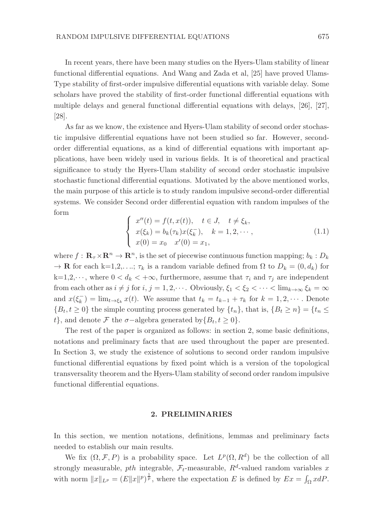In recent years, there have been many studies on the Hyers-Ulam stability of linear functional differential equations. And Wang and Zada et al, [25] have proved Ulams-Type stability of first-order impulsive differential equations with variable delay. Some scholars have proved the stability of first-order functional differential equations with multiple delays and general functional differential equations with delays, [26], [27], [28].

As far as we know, the existence and Hyers-Ulam stability of second order stochastic impulsive differential equations have not been studied so far. However, secondorder differential equations, as a kind of differential equations with important applications, have been widely used in various fields. It is of theoretical and practical significance to study the Hyers-Ulam stability of second order stochastic impulsive stochastic functional differential equations. Motivated by the above mentioned works, the main purpose of this article is to study random impulsive second-order differential systems. We consider Second order differential equation with random impulses of the form

$$
\begin{cases}\nx''(t) = f(t, x(t)), & t \in J, \quad t \neq \xi_k, \\
x(\xi_k) = b_k(\tau_k)x(\xi_k^-), & k = 1, 2, \dots, \\
x(0) = x_0 \quad x'(0) = x_1,\n\end{cases}
$$
\n(1.1)

where  $f: \mathbf{R}_{\tau} \times \mathbf{R}^n \to \mathbf{R}^n$ , is the set of piecewise continuous function mapping;  $b_k: D_k$  $\rightarrow \mathbf{R}$  for each k=1,2,...;  $\tau_k$  is a random variable defined from  $\Omega$  to  $D_k = (0, d_k)$  for  $k=1,2,\dots$ , where  $0 < d_k < +\infty$ , furthermore, assume that  $\tau_i$  and  $\tau_j$  are independent from each other as  $i \neq j$  for  $i, j = 1, 2, \cdots$ . Obviously,  $\xi_1 < \xi_2 < \cdots < \lim_{k \to \infty} \xi_k = \infty$ and  $x(\xi_k^-) = \lim_{t \to \xi_k} x(t)$ . We assume that  $t_k = t_{k-1} + \tau_k$  for  $k = 1, 2, \cdots$ . Denote  ${B_t, t \ge 0}$  the simple counting process generated by  ${t_n}$ , that is,  ${B_t \ge n} = {t_n \le n}$ t}, and denote F the  $\sigma$ -algebra generated by $\{B_t, t \geq 0\}$ .

The rest of the paper is organized as follows: in section 2, some basic definitions, notations and preliminary facts that are used throughout the paper are presented. In Section 3, we study the existence of solutions to second order random impulsive functional differential equations by fixed point which is a version of the topological transversality theorem and the Hyers-Ulam stability of second order random impulsive functional differential equations.

#### 2. PRELIMINARIES

In this section, we mention notations, definitions, lemmas and preliminary facts needed to establish our main results.

We fix  $(\Omega, \mathcal{F}, P)$  is a probability space. Let  $L^p(\Omega, R^d)$  be the collection of all strongly measurable,  $pth$  integrable,  $\mathcal{F}_t$ -measurable,  $R^d$ -valued random variables x with norm  $||x||_{L^p} = (E||x||^p)^{\frac{1}{p}}$ , where the expectation E is defined by  $Ex = \int_{\Omega} x dP$ .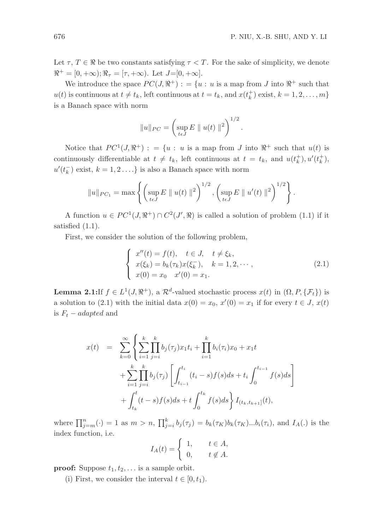Let  $\tau, T \in \mathbb{R}$  be two constants satisfying  $\tau < T$ . For the sake of simplicity, we denote  $\mathbb{R}^+ = [0, +\infty); \mathbb{R}_\tau = [\tau, +\infty)$ . Let  $J=[0, +\infty]$ .

We introduce the space  $PC(J, \mathbb{R}^+)$ : = {u : u is a map from J into  $\mathbb{R}^+$  such that  $u(t)$  is continuous at  $t \neq t_k$ , left continuous at  $t = t_k$ , and  $x(t_k^+)$  exist,  $k = 1, 2, ..., m$ } is a Banach space with norm

$$
||u||_{PC} = \left(\sup_{t \in J} E ||u(t)||^2\right)^{1/2}.
$$

Notice that  $PC^1(J, \mathbb{R}^+)$ : = {u : u is a map from J into  $\mathbb{R}^+$  such that  $u(t)$  is continuously differentiable at  $t \neq t_k$ , left continuous at  $t = t_k$ , and  $u(t_k^+), u'(t_k^+),$  $u'(t_k^-)$  exist,  $k = 1, 2, \ldots$ } is also a Banach space with norm

$$
||u||_{PC_1} = \max \left\{ \left( \sup_{t \in J} E ||u(t)||^2 \right)^{1/2}, \left( \sup_{t \in J} E ||u'(t)||^2 \right)^{1/2} \right\}.
$$

A function  $u \in PC^1(J, \mathbb{R}^+) \cap C^2(J', \mathbb{R})$  is called a solution of problem (1.1) if it satisfied (1.1).

First, we consider the solution of the following problem,

$$
\begin{cases}\nx''(t) = f(t), \quad t \in J, \quad t \neq \xi_k, \\
x(\xi_k) = b_k(\tau_k)x(\xi_k^-), \quad k = 1, 2, \dots, \\
x(0) = x_0 \quad x'(0) = x_1.\n\end{cases}
$$
\n(2.1)

**Lemma 2.1:** If  $f \in L^1(J, \mathbb{R}^+)$ , a  $\mathcal{R}^d$ -valued stochastic process  $x(t)$  in  $(\Omega, P, \{\mathcal{F}_t\})$  is a solution to (2.1) with the initial data  $x(0) = x_0, x'(0) = x_1$  if for every  $t \in J$ ,  $x(t)$ is  $F_t - adapted$  and

$$
x(t) = \sum_{k=0}^{\infty} \left\{ \sum_{i=1}^{k} \prod_{j=i}^{k} b_j(\tau_j) x_1 t_i + \prod_{i=1}^{k} b_i(\tau_i) x_0 + x_1 t + \sum_{i=1}^{k} \prod_{j=i}^{k} b_j(\tau_j) \left[ \int_{t_{i-1}}^{t_i} (t_i - s) f(s) ds + t_i \int_0^{t_{i-1}} f(s) ds \right] + \int_{t_k}^{t} (t - s) f(s) ds + t \int_0^{t_k} f(s) ds \right\} I_{(t_k, t_{k+1}]}(t),
$$

where  $\prod_{j=m}^{n}(\cdot) = 1$  as  $m > n$ ,  $\prod_{j=i}^{k} b_j(\tau_j) = b_k(\tau_K)b_k(\tau_K)...b_i(\tau_i)$ , and  $I_A(.)$  is the index function, i.e.

$$
I_A(t) = \begin{cases} 1, & t \in A, \\ 0, & t \notin A. \end{cases}
$$

**proof:** Suppose  $t_1, t_2, \ldots$  is a sample orbit.

(i) First, we consider the interval  $t \in [0, t_1)$ .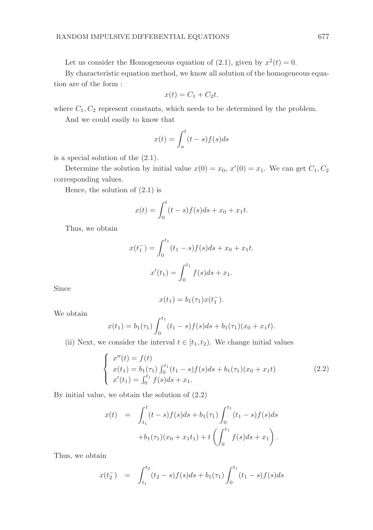Let us consider the Homogeneous equation of (2.1), given by  $x^2(t) = 0$ .

By characteristic equation method, we know all solution of the homogeneous equation are of the form :

$$
x(t) = C_1 + C_2 t.
$$

where  $C_1, C_2$  represent constants, which needs to be determined by the problem.

And we could easily to know that

$$
x(t) = \int_{a}^{t} (t - s) f(s) ds
$$

is a special solution of the (2.1).

Determine the solution by initial value  $x(0) = x_0, x'(0) = x_1$ . We can get  $C_1, C_2$ corresponding values.

Hence, the solution of (2.1) is

$$
x(t) = \int_0^t (t - s) f(s) ds + x_0 + x_1 t.
$$

Thus, we obtain

$$
x(t_1^-) = \int_0^{t_1} (t_1 - s) f(s) ds + x_0 + x_1 t.
$$

$$
x'(t_1) = \int_0^{t_1} f(s) ds + x_1.
$$

Since

$$
x(t_1) = b_1(\tau_1)x(t_1^-).
$$

We obtain

$$
x(t_1) = b_1(\tau_1) \int_0^{t_1} (t_1 - s) f(s) ds + b_1(\tau_1) (x_0 + x_1 t).
$$

(ii) Next, we consider the interval  $t \in [t_1, t_2)$ . We change initial values

$$
\begin{cases}\nx''(t) = f(t) \\
x(t_1) = b_1(\tau_1) \int_0^{t_1} (t_1 - s) f(s) ds + b_1(\tau_1) (x_0 + x_1 t) \\
x'(t_1) = \int_0^{t_1} f(s) ds + x_1.\n\end{cases}
$$
\n(2.2)

By initial value, we obtain the solution of (2.2)

$$
x(t) = \int_{t_1}^t (t-s)f(s)ds + b_1(\tau_1) \int_0^{t_1} (t_1-s)f(s)ds
$$
  
+  $b_1(\tau_1)(x_0+x_1t_1) + t \left(\int_0^{t_1} f(s)ds + x_1\right).$ 

Thus, we obtain

$$
x(t_2^-) = \int_{t_1}^{t_2} (t_2 - s) f(s) ds + b_1(\tau_1) \int_0^{t_1} (t_1 - s) f(s) ds
$$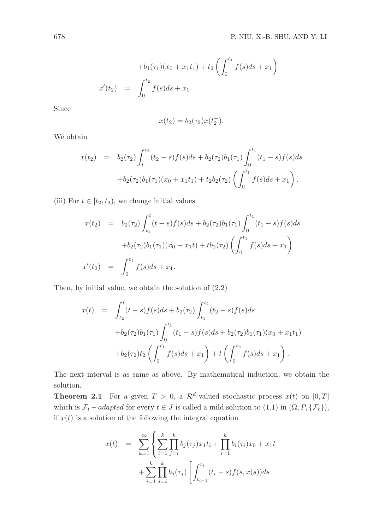$$
+b_1(\tau_1)(x_0+x_1t_1)+t_2\left(\int_0^{t_1}f(s)ds+x_1\right)
$$
  

$$
x'(t_2) = \int_0^{t_2}f(s)ds+x_1.
$$

Since

$$
x(t_2) = b_2(\tau_2)x(t_2^-).
$$

We obtain

$$
x(t_2) = b_2(\tau_2) \int_{t_1}^{t_2} (t_2 - s) f(s) ds + b_2(\tau_2) b_1(\tau_1) \int_0^{t_1} (t_1 - s) f(s) ds
$$
  
+ 
$$
b_2(\tau_2) b_1(\tau_1) (x_0 + x_1 t_1) + t_2 b_2(\tau_2) \left( \int_0^{t_1} f(s) ds + x_1 \right).
$$

(iii) For  $t \in [t_2, t_3)$ , we change initial values

$$
x(t_2) = b_2(\tau_2) \int_{t_1}^t (t-s) f(s) ds + b_2(\tau_2) b_1(\tau_1) \int_0^{t_1} (t_1-s) f(s) ds
$$
  
+ 
$$
b_2(\tau_2) b_1(\tau_1) (x_0+x_1t) + t b_2(\tau_2) \left( \int_0^{t_1} f(s) ds + x_1 \right)
$$
  

$$
x'(t_2) = \int_0^{t_1} f(s) ds + x_1.
$$

Then, by initial value, we obtain the solution of (2.2)

$$
x(t) = \int_{t_2}^t (t-s)f(s)ds + b_2(\tau_2) \int_{t_1}^{t_2} (t_2-s)f(s)ds
$$
  
+ $b_2(\tau_2)b_1(\tau_1) \int_0^{t_1} (t_1-s)f(s)ds + b_2(\tau_2)b_1(\tau_1)(x_0+x_1t_1)$   
+ $b_2(\tau_2)t_2 \left( \int_0^{t_1} f(s)ds + x_1 \right) + t \left( \int_0^{t_2} f(s)ds + x_1 \right).$ 

The next interval is as same as above. By mathematical induction, we obtain the solution.

**Theorem 2.1** For a given  $T > 0$ , a  $\mathcal{R}^d$ -valued stochastic process  $x(t)$  on  $[0, T]$ which is  $\mathcal{F}_t$  – adapted for every  $t \in J$  is called a mild solution to  $(1.1)$  in  $(\Omega, P, \{\mathcal{F}_t\})$ , if  $x(t)$  is a solution of the following the integral equation

$$
x(t) = \sum_{k=0}^{\infty} \left\{ \sum_{i=1}^{k} \prod_{j=i}^{k} b_j(\tau_j) x_1 t_i + \prod_{i=1}^{k} b_i(\tau_i) x_0 + x_1 t + \sum_{i=1}^{k} \prod_{j=i}^{k} b_j(\tau_j) \left[ \int_{t_{i-1}}^{t_i} (t_i - s) f(s, x(s)) ds \right] \right\}
$$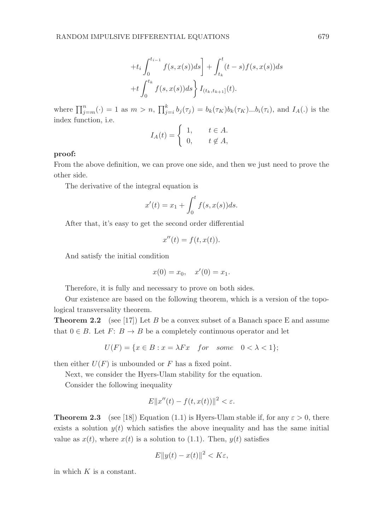$$
+t_i \int_0^{t_{i-1}} f(s, x(s)) ds \bigg] + \int_{t_k}^t (t-s) f(s, x(s)) ds
$$
  
+ $t \int_0^{t_k} f(s, x(s)) ds \bigg\} I_{(t_k, t_{k+1}]}(t).$ 

where  $\prod_{j=m}^{n}(\cdot) = 1$  as  $m > n$ ,  $\prod_{j=i}^{k} b_j(\tau_j) = b_k(\tau_K)b_k(\tau_K)...b_i(\tau_i)$ , and  $I_A(.)$  is the index function, i.e.

$$
I_A(t) = \begin{cases} 1, & t \in A. \\ 0, & t \notin A, \end{cases}
$$

# proof:

From the above definition, we can prove one side, and then we just need to prove the other side.

The derivative of the integral equation is

$$
x'(t) = x_1 + \int_0^t f(s, x(s))ds.
$$

After that, it's easy to get the second order differential

$$
x''(t) = f(t, x(t)).
$$

And satisfy the initial condition

$$
x(0) = x_0, \quad x'(0) = x_1.
$$

Therefore, it is fully and necessary to prove on both sides.

Our existence are based on the following theorem, which is a version of the topological transversality theorem.

**Theorem 2.2** (see [17]) Let B be a convex subset of a Banach space E and assume that  $0 \in B$ . Let  $F: B \to B$  be a completely continuous operator and let

$$
U(F) = \{ x \in B : x = \lambda Fx \quad for \quad some \quad 0 < \lambda < 1 \};
$$

then either  $U(F)$  is unbounded or F has a fixed point.

Next, we consider the Hyers-Ulam stability for the equation.

Consider the following inequality

$$
E||x''(t) - f(t, x(t))||^2 < \varepsilon.
$$

**Theorem 2.3** (see [18]) Equation (1.1) is Hyers-Ulam stable if, for any  $\varepsilon > 0$ , there exists a solution  $y(t)$  which satisfies the above inequality and has the same initial value as  $x(t)$ , where  $x(t)$  is a solution to (1.1). Then,  $y(t)$  satisfies

$$
E||y(t) - x(t)||^2 < K\varepsilon,
$$

in which  $K$  is a constant.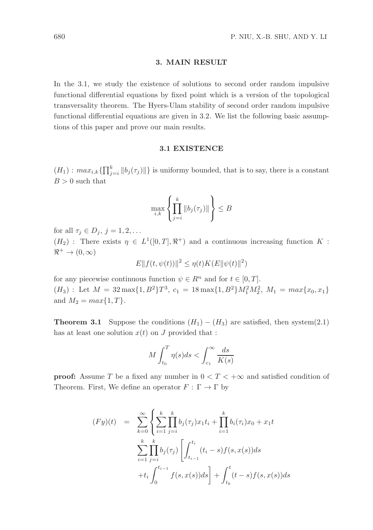#### 3. MAIN RESULT

In the 3.1, we study the existence of solutions to second order random impulsive functional differential equations by fixed point which is a version of the topological transversality theorem. The Hyers-Ulam stability of second order random impulsive functional differential equations are given in 3.2. We list the following basic assumptions of this paper and prove our main results.

#### 3.1 EXISTENCE

 $(H_1)$ :  $max_{i,k} {\{\prod_{j=i}^{k} ||b_j(\tau_j)||\}}$  is uniformy bounded, that is to say, there is a constant  $B > 0$  such that

$$
\max_{i,k} \left\{ \prod_{j=i}^k \left\| b_j(\tau_j) \right\| \right\} \leq B
$$

for all  $\tau_j \in D_j$ ,  $j = 1, 2, \ldots$ 

 $(H_2)$ : There exists  $\eta \in L^1([0,T],\mathbb{R}^+)$  and a continuous increasing function K:  $\Re^+ \to (0,\infty)$ 

$$
E||f(t, \psi(t))||^2 \leq \eta(t)K(E||\psi(t)||^2)
$$

for any piecewise continuous function  $\psi \in \mathbb{R}^n$  and for  $t \in [0, T]$ .  $(H_3)$ : Let  $M = 32 \max\{1, B^2\} T^3$ ,  $c_1 = 18 \max\{1, B^2\} M_1^2 M_2^2$ ,  $M_1 = \max\{x_0, x_1\}$ and  $M_2 = max\{1, T\}.$ 

**Theorem 3.1** Suppose the conditions  $(H_1) - (H_3)$  are satisfied, then system(2.1) has at least one solution  $x(t)$  on J provided that :

$$
M\int_{t_0}^{T} \eta(s)ds < \int_{c_1}^{\infty} \frac{ds}{K(s)}
$$

**proof:** Assume T be a fixed any number in  $0 < T < +\infty$  and satisfied condition of Theorem. First, We define an operator  $F : \Gamma \to \Gamma$  by

$$
(Fy)(t) = \sum_{k=0}^{\infty} \left\{ \sum_{i=1}^{k} \prod_{j=i}^{k} b_j(\tau_j) x_1 t_i + \prod_{i=1}^{k} b_i(\tau_i) x_0 + x_1 t \right\}
$$

$$
\sum_{i=1}^{k} \prod_{j=i}^{k} b_j(\tau_j) \left[ \int_{t_{i-1}}^{t_i} (t_i - s) f(s, x(s)) ds + t_i \int_0^{t_{i-1}} f(s, x(s)) ds \right] + \int_{t_k}^t (t - s) f(s, x(s)) ds
$$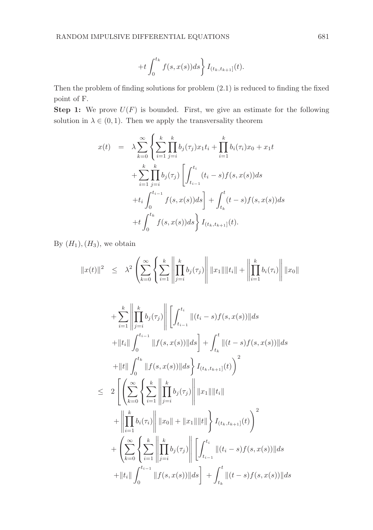$$
+t\int_0^{t_k}f(s,x(s))ds\bigg\}I_{(t_k,t_{k+1}]}(t).
$$

Then the problem of finding solutions for problem (2.1) is reduced to finding the fixed point of F.

**Step 1:** We prove  $U(F)$  is bounded. First, we give an estimate for the following solution in  $\lambda \in (0, 1)$ . Then we apply the transversality theorem

$$
x(t) = \lambda \sum_{k=0}^{\infty} \left\{ \sum_{i=1}^{k} \prod_{j=i}^{k} b_j(\tau_j) x_1 t_i + \prod_{i=1}^{k} b_i(\tau_i) x_0 + x_1 t + \sum_{i=1}^{k} \prod_{j=i}^{k} b_j(\tau_j) \left[ \int_{t_{i-1}}^{t_i} (t_i - s) f(s, x(s)) ds + t_i \int_0^{t_{i-1}} f(s, x(s)) ds \right] + \int_{t_k}^{t} (t - s) f(s, x(s)) ds + t \int_0^{t_k} f(s, x(s)) ds \right\} I_{(t_k, t_{k+1}]}(t).
$$

By  $(H_1), (H_3)$ , we obtain

$$
||x(t)||^2 \leq \lambda^2 \left( \sum_{k=0}^{\infty} \left\{ \sum_{i=1}^k \left\| \prod_{j=i}^k b_j(\tau_j) \right\| ||x_1|| ||t_i|| + \left\| \prod_{i=1}^k b_i(\tau_i) \right\| ||x_0||
$$

$$
+ \sum_{i=1}^{k} \left\| \prod_{j=i}^{k} b_{j}(\tau_{j}) \right\| \left[ \int_{t_{i-1}}^{t_{i}} \|(t_{i}-s)f(s,x(s))\| ds \right\|
$$
  
+ 
$$
\|t_{i}\| \int_{0}^{t_{i-1}} \|f(s,x(s))\| ds \right] + \int_{t_{k}}^{t} \|(t-s)f(s,x(s))\| ds
$$
  
+ 
$$
\|t\| \int_{0}^{t_{k}} \|f(s,x(s))\| ds \right\} I_{(t_{k},t_{k+1}]}(t) \bigg)^{2}
$$
  

$$
\leq 2 \left[ \left( \sum_{k=0}^{\infty} \left\{ \sum_{i=1}^{k} \left\| \prod_{j=i}^{k} b_{j}(\tau_{j}) \right\| \|x_{1}\| \|t_{i}\| \right. \right. \right.
$$
  
+ 
$$
\left\| \prod_{i=1}^{k} b_{i}(\tau_{i}) \right\| \|x_{0}\| + \|x_{1}\| \|t\| \right\} I_{(t_{k},t_{k+1}]}(t) \bigg)^{2}
$$
  
+ 
$$
\left( \sum_{k=0}^{\infty} \left\{ \sum_{i=1}^{k} \left\| \prod_{j=i}^{k} b_{j}(\tau_{j}) \right\| \left[ \int_{t_{i-1}}^{t_{i}} \|(t_{i}-s)f(s,x(s))\| ds \right. \right. \right.
$$
  
+ 
$$
\|t_{i}\| \int_{0}^{t_{i-1}} \|f(s,x(s))\| ds \right] + \int_{t_{k}}^{t} \|(t-s)f(s,x(s))\| ds
$$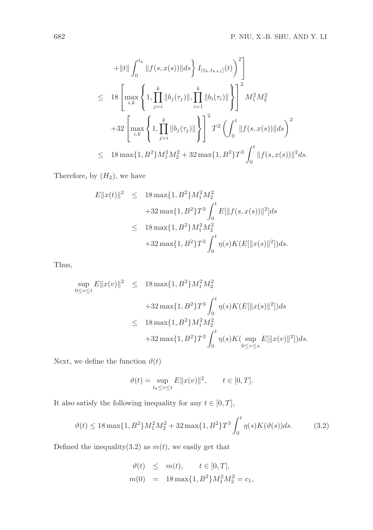$$
+ \|t\| \int_0^{t_k} \|f(s, x(s))\| ds \Bigg\} I_{(t_k, t_{k+1}]}(t) \Bigg)^2 \Bigg]
$$
  
\n
$$
\leq 18 \left[ \max_{i,k} \left\{ 1, \prod_{j=i}^k \|b_j(\tau_j)\|, \prod_{i=1}^k \|b_i(\tau_i)\| \right\} \right]^2 M_1^2 M_2^2
$$
  
\n
$$
+ 32 \left[ \max_{i,k} \left\{ 1, \prod_{j=i}^k \|b_j(\tau_j)\| \right\} \right]^2 T^2 \left( \int_0^t \|f(s, x(s))\| ds \right)^2
$$
  
\n
$$
\leq 18 \max\{1, B^2\} M_1^2 M_2^2 + 32 \max\{1, B^2\} T^3 \int_0^t \|f(s, x(s))\|^2 ds.
$$

Therefore, by  $(H_2)$ , we have

$$
E||x(t)||^2 \le 18 \max\{1, B^2\} M_1^2 M_2^2
$$
  
+32 \max\{1, B^2\} T^3 \int\_0^t E[||f(s, x(s))||^2] ds  

$$
\le 18 \max\{1, B^2\} M_1^2 M_2^2
$$
  
+32 \max\{1, B^2\} T^3 \int\_0^t \eta(s) K(E[||x(s)||^2]) ds.

Thus,

$$
\sup_{0 \le v \le t} E||x(v)||^2 \le 18 \max\{1, B^2\} M_1^2 M_2^2
$$
  
+32 \max\{1, B^2\} T^3 \int\_0^t \eta(s) K(E[||x(s)||^2]) ds  

$$
\le 18 \max\{1, B^2\} M_1^2 M_2^2
$$
  
+32 \max\{1, B^2\} T^3 \int\_0^t \eta(s) K(\sup\_{0 \le v \le s} E[||x(v)||^2]) ds.

Next, we define the function  $\vartheta(t)$ 

$$
\vartheta(t) = \sup_{t_0 \le v \le t} E||x(v)||^2, \qquad t \in [0, T].
$$

It also satisfy the following inequality for any  $t\in[0,T],$ 

$$
\vartheta(t) \le 18 \max\{1, B^2\} M_1^2 M_2^2 + 32 \max\{1, B^2\} T^3 \int_0^t \eta(s) K(\vartheta(s)) ds.
$$
 (3.2)

Defined the inequality(3.2) as  $m(t)$ , we easily get that

$$
\vartheta(t) \leq m(t), \qquad t \in [0, T],
$$
  
\n $m(0) = 18 \max\{1, B^2\} M_1^2 M_2^2 = c_1,$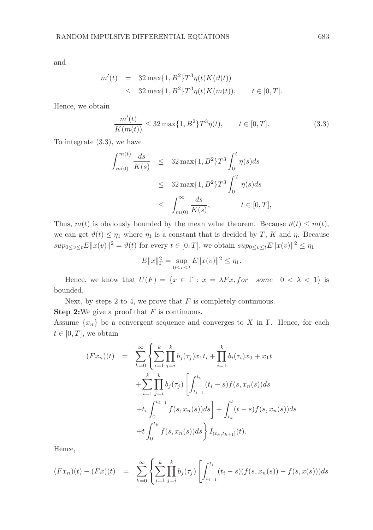and

$$
m'(t) = 32 \max\{1, B^2\} T^3 \eta(t) K(\vartheta(t))
$$
  
 
$$
\leq 32 \max\{1, B^2\} T^3 \eta(t) K(m(t)), \qquad t \in [0, T].
$$

Hence, we obtain

$$
\frac{m'(t)}{K(m(t))} \le 32 \max\{1, B^2\} T^3 \eta(t), \qquad t \in [0, T].
$$
\n(3.3)

To integrate (3.3), we have

$$
\int_{m(0)}^{m(t)} \frac{ds}{K(s)} \leq 32 \max\{1, B^2\} T^3 \int_0^t \eta(s) ds
$$
  

$$
\leq 32 \max\{1, B^2\} T^3 \int_0^T \eta(s) ds
$$
  

$$
\leq \int_{m(0)}^{\infty} \frac{ds}{K(s)}, \qquad t \in [0, T],
$$

Thus,  $m(t)$  is obviously bounded by the mean value theorem. Because  $\vartheta(t) \leq m(t)$ , we can get  $\vartheta(t) \leq \eta_1$  where  $\eta_1$  is a constant that is decided by T, K and  $\eta$ . Because  $sup_{0\leq v\leq t}E||x(v)||^2 = \vartheta(t)$  for every  $t \in [0,T]$ , we obtain  $sup_{0\leq v\leq t}E||x(v)||^2 \leq \eta_1$ 

$$
E||x||_{\Gamma}^{2} = \sup_{0 \le v \le t} E||x(v)||^{2} \le \eta_{1}.
$$

Hence, we know that  $U(F) = \{x \in \Gamma : x = \lambda Fx, for some 0 < \lambda < 1\}$  is bounded.

Next, by steps 2 to 4, we prove that  $F$  is completely continuous. **Step 2:**We give a proof that  $F$  is continuous.

Assume  $\{x_n\}$  be a convergent sequence and converges to X in Γ. Hence, for each  $t \in [0, T]$ , we obtain

$$
(Fx_n)(t) = \sum_{k=0}^{\infty} \left\{ \sum_{i=1}^{k} \prod_{j=i}^{k} b_j(\tau_j) x_1 t_i + \prod_{i=1}^{k} b_i(\tau_i) x_0 + x_1 t + \sum_{i=1}^{k} \prod_{j=i}^{k} b_j(\tau_j) \left[ \int_{t_{i-1}}^{t_i} (t_i - s) f(s, x_n(s)) ds + t_i \int_0^{t_{i-1}} f(s, x_n(s)) ds \right] + \int_{t_k}^{t} (t - s) f(s, x_n(s)) ds + t \int_0^{t_k} f(s, x_n(s)) ds \right\} I_{(t_k, t_{k+1}]}(t).
$$

Hence,

$$
(Fx_n)(t) - (Fx)(t) = \sum_{k=0}^{\infty} \left\{ \sum_{i=1}^{k} \prod_{j=i}^{k} b_j(\tau_j) \left[ \int_{t_{i-1}}^{t_i} (t_i - s)(f(s, x_n(s)) - f(s, x(s))) ds \right] \right\}
$$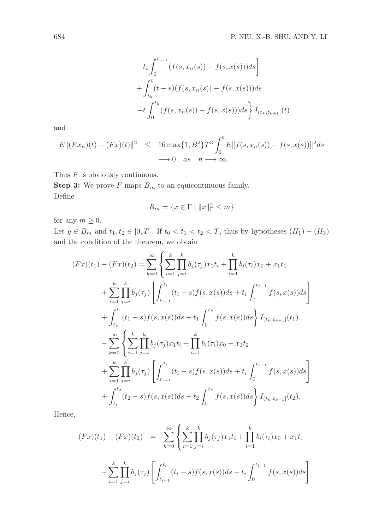$$
+t_i \int_0^{t_{i-1}} (f(s, x_n(s)) - f(s, x(s))) ds
$$
  
+ 
$$
\int_{t_k}^t (t - s)(f(s, x_n(s)) - f(s, x(s))) ds
$$
  
+ 
$$
t \int_0^{t_k} (f(s, x_n(s)) - f(s, x(s))) ds \Big\} I_{(t_k, t_{k+1}]}(t)
$$

and

$$
E||(Fx_n)(t) - (Fx)(t)||^2 \le 16 \max\{1, B^2\} T^3 \int_0^t E||f(s, x_n(s)) - f(s, x(s))||^2 ds
$$
  

$$
\longrightarrow 0 \quad as \quad n \longrightarrow \infty.
$$

Thus  $F$  is obviously continuous.

**Step 3:** We prove  $F$  maps  $B_m$  to an equicontinuous family. Define  $\overline{2}$ 

$$
B_m = \{ x \in \Gamma \mid ||x||_{\Gamma}^2 \le m \}
$$

for any  $m \geq 0$ .

Let  $y \in B_m$  and  $t_1, t_2 \in [0, T]$ . If  $t_0 < t_1 < t_2 < T$ , thus by hypotheses  $(H_1) - (H_3)$ and the condition of the theorem, we obtain

$$
(Fx)(t_1) - (Fx)(t_2) = \sum_{k=0}^{\infty} \left\{ \sum_{i=1}^{k} \prod_{j=i}^{k} b_j(\tau_j) x_1 t_i + \prod_{i=1}^{k} b_i(\tau_i) x_0 + x_1 t_1 + \sum_{i=1}^{k} \prod_{j=i}^{k} b_j(\tau_j) \left[ \int_{t_{i-1}}^{t_i} (t_i - s) f(s, x(s)) ds + t_i \int_{0}^{t_{i-1}} f(s, x(s)) ds \right] + \int_{t_k}^{t_1} (t_1 - s) f(s, x(s)) ds + t_1 \int_{0}^{t_k} f(s, x(s)) ds \right\} I_{(t_k, t_{k+1}]}(t_1) - \sum_{k=0}^{\infty} \left\{ \sum_{i=1}^{k} \prod_{j=i}^{k} b_j(\tau_j) x_1 t_i + \prod_{i=1}^{k} b_i(\tau_i) x_0 + x_1 t_2 + \sum_{i=1}^{k} \prod_{j=i}^{k} b_j(\tau_j) \left[ \int_{t_{i-1}}^{t_i} (t_i - s) f(s, x(s)) ds + t_i \int_{0}^{t_{i-1}} f(s, x(s)) ds \right] + \int_{t_k}^{t_2} (t_2 - s) f(s, x(s)) ds + t_2 \int_{0}^{t_k} f(s, x(s)) ds \right\} I_{(t_k, t_{k+1}]}(t_2).
$$

Hence,

$$
(Fx)(t_1) - (Fx)(t_2) = \sum_{k=0}^{\infty} \left\{ \sum_{i=1}^{k} \prod_{j=i}^{k} b_j(\tau_j) x_1 t_i + \prod_{i=1}^{k} b_i(\tau_i) x_0 + x_1 t_1 + \sum_{i=1}^{k} \prod_{j=i}^{k} b_j(\tau_j) \left[ \int_{t_{i-1}}^{t_i} (t_i - s) f(s, x(s)) ds + t_i \int_0^{t_{i-1}} f(s, x(s)) ds \right] \right\}
$$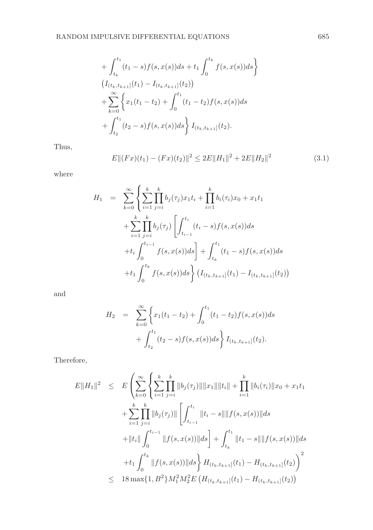$$
+\int_{t_k}^{t_1} (t_1 - s) f(s, x(s)) ds + t_1 \int_0^{t_k} f(s, x(s)) ds \}
$$
  
\n
$$
(I_{(t_k, t_{k+1}]}(t_1) - I_{(t_k, t_{k+1}]}(t_2))
$$
  
\n
$$
+\sum_{k=0}^{\infty} \left\{ x_1(t_1 - t_2) + \int_0^{t_1} (t_1 - t_2) f(s, x(s)) ds \right\}
$$
  
\n
$$
+\int_{t_2}^{t_1} (t_2 - s) f(s, x(s)) ds \right\} I_{(t_k, t_{k+1}]}(t_2).
$$

Thus,

$$
E||(Fx)(t_1) - (Fx)(t_2)||^2 \le 2E||H_1||^2 + 2E||H_2||^2 \tag{3.1}
$$

where

$$
H_1 = \sum_{k=0}^{\infty} \left\{ \sum_{i=1}^{k} \prod_{j=i}^{k} b_j(\tau_j) x_1 t_i + \prod_{i=1}^{k} b_i(\tau_i) x_0 + x_1 t_1 + \sum_{i=1}^{k} \prod_{j=i}^{k} b_j(\tau_j) \left[ \int_{t_{i-1}}^{t_i} (t_i - s) f(s, x(s)) ds + t_i \int_0^{t_{i-1}} f(s, x(s)) ds \right] + \int_{t_k}^{t_1} (t_1 - s) f(s, x(s)) ds + t_1 \int_0^{t_k} f(s, x(s)) ds \right\} (I_{(t_k, t_{k+1}]}(t_1) - I_{(t_k, t_{k+1}]}(t_2))
$$

and

$$
H_2 = \sum_{k=0}^{\infty} \left\{ x_1(t_1 - t_2) + \int_0^{t_1} (t_1 - t_2) f(s, x(s)) ds + \int_{t_2}^{t_1} (t_2 - s) f(s, x(s)) ds \right\} I_{(t_k, t_{k+1}]}(t_2).
$$

Therefore,

$$
E||H_1||^2 \leq E\left(\sum_{k=0}^{\infty}\left\{\sum_{i=1}^k\prod_{j=i}^k\|b_j(\tau_j)\|\|x_1\|\|t_i\| + \prod_{i=1}^k\|b_i(\tau_i)\|x_0 + x_1t_1\right\}
$$
  
+ 
$$
\sum_{i=1}^k\prod_{j=i}^k\|b_j(\tau_j)\|\left[\int_{t_{i-1}}^{t_i}\|t_i - s\|\|f(s, x(s))\|ds\right]
$$
  
+ 
$$
||t_i||\int_0^{t_{i-1}}\|f(s, x(s))\|ds\right] + \int_{t_k}^{t_1}\|t_1 - s\|\|f(s, x(s))\|ds
$$
  
+ 
$$
t_1 \int_0^{t_k}\|f(s, x(s))\|ds\right\}H_{(t_k, t_{k+1}]}(t_1) - H_{(t_k, t_{k+1}]}(t_2)\right)^2
$$
  

$$
\leq 18 \max\{1, B^2\}M_1^2M_2^2E\left(H_{(t_k, t_{k+1}]}(t_1) - H_{(t_k, t_{k+1}]}(t_2)\right)
$$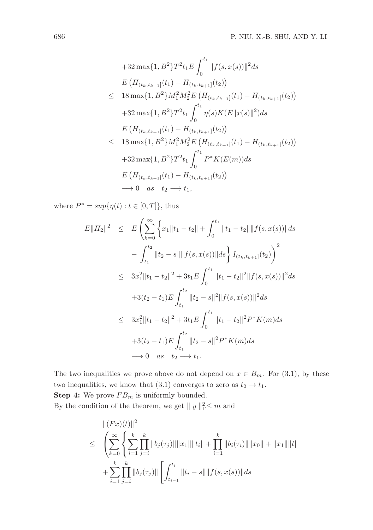$$
+32 \max\{1, B^{2}\} T^{2} t_{1} E \int_{0}^{t_{1}} ||f(s, x(s))||^{2} ds
$$
  
\n
$$
E (H_{(t_{k}, t_{k+1}]}(t_{1}) - H_{(t_{k}, t_{k+1}]}(t_{2}))
$$
  
\n
$$
\leq 18 \max\{1, B^{2}\} M_{1}^{2} M_{2}^{2} E (H_{(t_{k}, t_{k+1}]}(t_{1}) - H_{(t_{k}, t_{k+1}]}(t_{2}))
$$
  
\n
$$
+32 \max\{1, B^{2}\} T^{2} t_{1} \int_{0}^{t_{1}} \eta(s) K(E ||x(s)||^{2}) ds
$$
  
\n
$$
E (H_{(t_{k}, t_{k+1}]}(t_{1}) - H_{(t_{k}, t_{k+1}]}(t_{2}))
$$
  
\n
$$
\leq 18 \max\{1, B^{2}\} M_{1}^{2} M_{2}^{2} E (H_{(t_{k}, t_{k+1}]}(t_{1}) - H_{(t_{k}, t_{k+1}]}(t_{2}))
$$
  
\n
$$
+32 \max\{1, B^{2}\} T^{2} t_{1} \int_{0}^{t_{1}} P^{*} K(E(m)) ds
$$
  
\n
$$
E (H_{(t_{k}, t_{k+1}]}(t_{1}) - H_{(t_{k}, t_{k+1}]}(t_{2}))
$$
  
\n
$$
\rightarrow 0 \text{ as } t_{2} \rightarrow t_{1},
$$

where  $P^* = \sup\{\eta(t) : t \in [0, T]\},\$  thus

$$
E||H_2||^2 \leq E\left(\sum_{k=0}^{\infty} \left\{x_1||t_1 - t_2|| + \int_0^{t_1} ||t_1 - t_2|| ||f(s, x(s))|| ds - \int_{t_1}^{t_2} ||t_2 - s|| ||f(s, x(s))|| ds\right\} I_{(t_k, t_{k+1}]}(t_2)\right)^2
$$
  
\n
$$
\leq 3x_1^2||t_1 - t_2||^2 + 3t_1E \int_0^{t_1} ||t_1 - t_2||^2 ||f(s, x(s))||^2 ds
$$
  
\n
$$
+ 3(t_2 - t_1)E \int_{t_1}^{t_2} ||t_2 - s||^2 ||f(s, x(s))||^2 ds
$$
  
\n
$$
\leq 3x_1^2||t_1 - t_2||^2 + 3t_1E \int_0^{t_1} ||t_1 - t_2||^2 P^* K(m) ds
$$
  
\n
$$
+ 3(t_2 - t_1)E \int_{t_1}^{t_2} ||t_2 - s||^2 P^* K(m) ds
$$
  
\n
$$
\to 0 \text{ as } t_2 \to t_1.
$$

The two inequalities we prove above do not depend on  $x \in B_m$ . For (3.1), by these two inequalities, we know that (3.1) converges to zero as  $t_2 \to t_1$ . **Step 4:** We prove  $FB_m$  is uniformly bounded.

By the condition of the theorem, we get  $|| y ||_{\Gamma}^2 \leq m$  and

$$
\leq \left( \sum_{k=0}^{\infty} \left\{ \sum_{i=1}^{k} \prod_{j=i}^{k} \|b_j(\tau_j)\| \|x_1\| \|t_i\| + \prod_{i=1}^{k} \|b_i(\tau_i)\| \|x_0\| + \|x_1\| \|t\| \right. \\ \left. + \sum_{i=1}^{k} \prod_{j=i}^{k} \|b_j(\tau_j)\| \left[ \int_{t_{i-1}}^{t_i} \|t_i - s\| \|f(s, x(s))\| ds \right. \right.
$$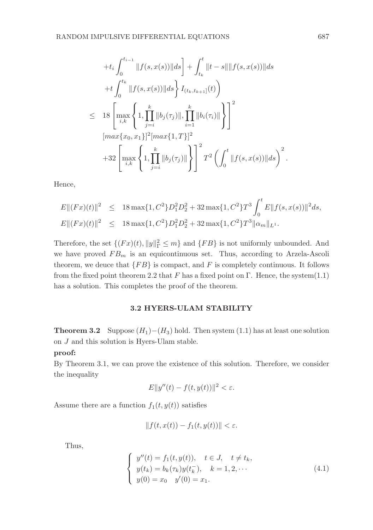$$
+t_{i} \int_{0}^{t_{i-1}} \|f(s, x(s))\|ds + \int_{t_{k}}^{t} \|t - s\| \|f(s, x(s))\|ds
$$
  
+
$$
+t \int_{0}^{t_{k}} \|f(s, x(s))\|ds + \int_{t_{k}, t_{k+1}}^{t_{k}} \|f(s, x(s))\|ds
$$
  

$$
\leq 18 \left[\max_{i,k} \left\{1, \prod_{j=i}^{k} \|b_{j}(\tau_{j})\|, \prod_{i=1}^{k} \|b_{i}(\tau_{i})\| \right\} \right]^{2}
$$
  

$$
[\max\{x_{0}, x_{1}\}]^{2} [\max\{1, T\}]^{2}
$$
  
+32 
$$
\left[\max_{i,k} \left\{1, \prod_{j=i}^{k} \|b_{j}(\tau_{j})\| \right\} \right]^{2} T^{2} \left(\int_{0}^{t} \|f(s, x(s))\|ds \right)^{2}.
$$

Hence,

$$
E||(Fx)(t)||^2 \le 18 \max\{1, C^2\} D_1^2 D_2^2 + 32 \max\{1, C^2\} T^3 \int_0^t E||f(s, x(s))||^2 ds,
$$
  

$$
E||(Fx)(t)||^2 \le 18 \max\{1, C^2\} D_1^2 D_2^2 + 32 \max\{1, C^2\} T^3 ||\alpha_m||_{L^1}.
$$

Therefore, the set  $\{(Fx)(t), \|y\|_{\Gamma}^2 \leq m\}$  and  $\{FB\}$  is not uniformly unbounded. And we have proved  $FB_m$  is an equicontinuous set. Thus, according to Arzela-Ascoli theorem, we deuce that  ${FB}$  is compact, and F is completely continuous. It follows from the fixed point theorem 2.2 that F has a fixed point on Γ. Hence, the system $(1.1)$ has a solution. This completes the proof of the theorem.

# 3.2 HYERS-ULAM STABILITY

**Theorem 3.2** Suppose  $(H_1)$ − $(H_3)$  hold. Then system (1.1) has at least one solution on J and this solution is Hyers-Ulam stable.

# proof:

By Theorem 3.1, we can prove the existence of this solution. Therefore, we consider the inequality

$$
E||y''(t) - f(t, y(t))||^2 < \varepsilon.
$$

Assume there are a function  $f_1(t, y(t))$  satisfies

$$
||f(t, x(t)) - f_1(t, y(t))|| < \varepsilon.
$$

Thus,

$$
\begin{cases}\ny''(t) = f_1(t, y(t)), & t \in J, \quad t \neq t_k, \\
y(t_k) = b_k(\tau_k)y(t_k^-), & k = 1, 2, \cdots \\
y(0) = x_0 \quad y'(0) = x_1.\n\end{cases}
$$
\n(4.1)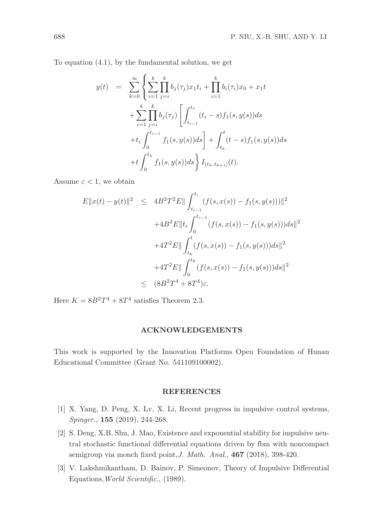To equation (4.1), by the fundamental solution, we get

$$
y(t) = \sum_{k=0}^{\infty} \left\{ \sum_{i=1}^{k} \prod_{j=i}^{k} b_j(\tau_j) x_1 t_i + \prod_{i=1}^{k} b_i(\tau_i) x_0 + x_1 t + \sum_{i=1}^{k} \prod_{j=i}^{k} b_j(\tau_j) \left[ \int_{t_{i-1}}^{t_i} (t_i - s) f_1(s, y(s)) ds + t_i \int_0^{t_{i-1}} f_1(s, y(s)) ds \right] + \int_{t_k}^{t} (t - s) f_1(s, y(s)) ds + t \int_0^{t_k} f_1(s, y(s)) ds \right\} I_{(t_k, t_{k+1}]}(t).
$$

Assume  $\varepsilon < 1$ , we obtain

$$
E||x(t) - y(t)||^2 \le 4B^2T^2E||\int_{t_{i-1}}^{t_i} (f(s, x(s)) - f_1(s, y(s)))||^2
$$
  
+4B<sup>2</sup>E||t<sub>i</sub>  $\int_0^{t_{i-1}} (f(s, x(s)) - f_1(s, y(s)))ds||^2$   
+4T<sup>2</sup>E|| $\int_{t_k}^{t} (f(s, x(s)) - f_1(s, y(s)))ds||^2$   
+4T<sup>2</sup>E|| $\int_0^{t_k} (f(s, x(s)) - f_1(s, y(s)))ds||^2$   
 $\le (8B^2T^4 + 8T^4)\varepsilon.$ 

Here  $K = 8B^2T^4 + 8T^4$  satisfies Theorem 2.3.

#### ACKNOWLEDGEMENTS

This work is supported by the Innovation Platforms Open Foundation of Hunan Educational Committee (Grant No. 541109100002).

## REFERENCES

- [1] X. Yang, D. Peng, X. Lv, X. Li, Recent progress in impulsive control systems, Spinger., 155 (2019), 244-268.
- [2] S. Deng, X.B. Shu, J. Mao, Existence and exponential stability for impulsive neutral stochastic functional differential equations driven by fbm with noncompact semigroup via monch fixed point, J. Math. Anal., 467 (2018), 398-420.
- [3] V. Lakshmikantham, D. Bainov, P. Simeonov, Theory of Impulsive Differential Equations,World Scientific., (1989).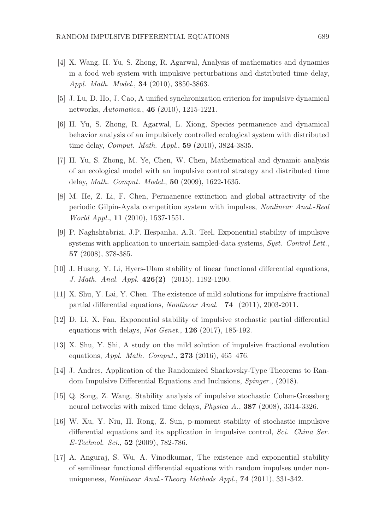- [4] X. Wang, H. Yu, S. Zhong, R. Agarwal, Analysis of mathematics and dynamics in a food web system with impulsive perturbations and distributed time delay, Appl. Math. Model., 34 (2010), 3850-3863.
- [5] J. Lu, D. Ho, J. Cao, A unified synchronization criterion for impulsive dynamical networks, Automatica., 46 (2010), 1215-1221.
- [6] H. Yu, S. Zhong, R. Agarwal, L. Xiong, Species permanence and dynamical behavior analysis of an impulsively controlled ecological system with distributed time delay, Comput. Math. Appl., 59 (2010), 3824-3835.
- [7] H. Yu, S. Zhong, M. Ye, Chen, W. Chen, Mathematical and dynamic analysis of an ecological model with an impulsive control strategy and distributed time delay, Math. Comput. Model., 50 (2009), 1622-1635.
- [8] M. He, Z. Li, F. Chen, Permanence extinction and global attractivity of the periodic Gilpin-Ayala competition system with impulses, Nonlinear Anal.-Real World Appl., 11 (2010), 1537-1551.
- [9] P. Naghshtabrizi, J.P. Hespanha, A.R. Teel, Exponential stability of impulsive systems with application to uncertain sampled-data systems, Syst. Control Lett., 57 (2008), 378-385.
- [10] J. Huang, Y. Li, Hyers-Ulam stability of linear functional differential equations, J. Math. Anal. Appl. 426(2) (2015), 1192-1200.
- [11] X. Shu, Y. Lai, Y. Chen. The existence of mild solutions for impulsive fractional partial differential equations, Nonlinear Anal. 74 (2011), 2003-2011.
- [12] D. Li, X. Fan, Exponential stability of impulsive stochastic partial differential equations with delays, Nat Genet.,  $126$  (2017), 185-192.
- [13] X. Shu, Y. Shi, A study on the mild solution of impulsive fractional evolution equations, *Appl. Math. Comput.*, **273** (2016), 465-476.
- [14] J. Andres, Application of the Randomized Sharkovsky-Type Theorems to Random Impulsive Differential Equations and Inclusions, Spinger., (2018).
- [15] Q. Song, Z. Wang, Stability analysis of impulsive stochastic Cohen-Grossberg neural networks with mixed time delays, Physica A., 387 (2008), 3314-3326.
- [16] W. Xu, Y. Niu, H. Rong, Z. Sun, p-moment stability of stochastic impulsive differential equations and its application in impulsive control, Sci. China Ser. E-Technol. Sci., **52** (2009), 782-786.
- [17] A. Anguraj, S. Wu, A. Vinodkumar, The existence and exponential stability of semilinear functional differential equations with random impulses under nonuniqueness, Nonlinear Anal.-Theory Methods Appl., 74 (2011), 331-342.